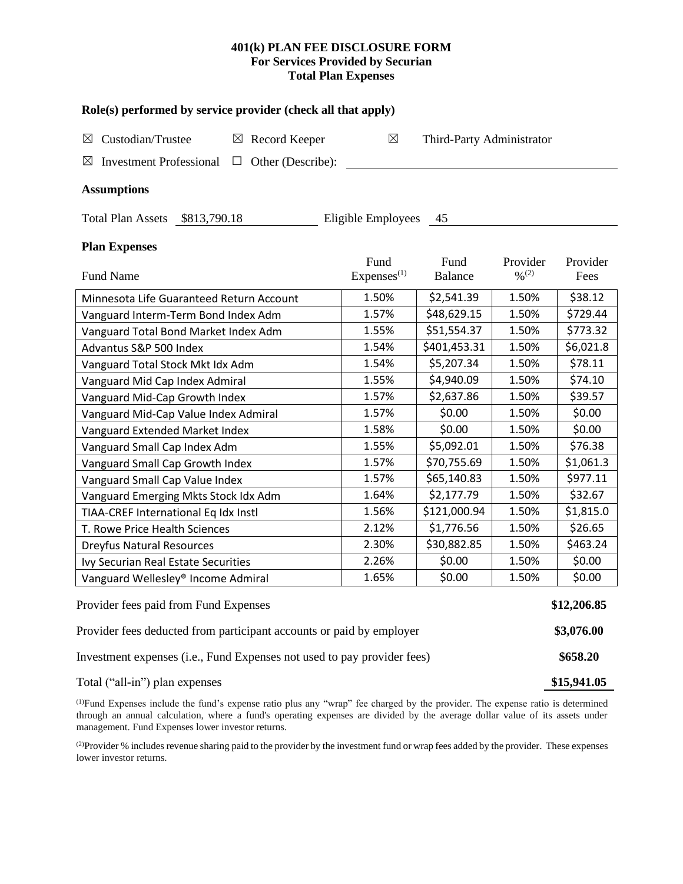## **401(k) PLAN FEE DISCLOSURE FORM For Services Provided by Securian Total Plan Expenses**

| Role(s) performed by service provider (check all that apply)            |                                |                           |                                          |                  |  |  |  |  |  |
|-------------------------------------------------------------------------|--------------------------------|---------------------------|------------------------------------------|------------------|--|--|--|--|--|
| Custodian/Trustee<br>$\boxtimes$ Record Keeper<br>$\boxtimes$           | $\boxtimes$                    | Third-Party Administrator |                                          |                  |  |  |  |  |  |
| $\Box$ Other (Describe):<br><b>Investment Professional</b><br>⊠         |                                |                           |                                          |                  |  |  |  |  |  |
| <b>Assumptions</b>                                                      |                                |                           |                                          |                  |  |  |  |  |  |
| Total Plan Assets \$813,790.18<br>Eligible Employees 45                 |                                |                           |                                          |                  |  |  |  |  |  |
| <b>Plan Expenses</b>                                                    |                                |                           |                                          |                  |  |  |  |  |  |
| <b>Fund Name</b>                                                        | Fund<br>Express <sup>(1)</sup> | Fund<br><b>Balance</b>    | Provider<br>$\frac{0}{2}$ <sup>(2)</sup> | Provider<br>Fees |  |  |  |  |  |
| Minnesota Life Guaranteed Return Account                                | 1.50%                          | \$2,541.39                | 1.50%                                    | \$38.12          |  |  |  |  |  |
| Vanguard Interm-Term Bond Index Adm                                     | 1.57%                          | \$48,629.15               | 1.50%                                    | \$729.44         |  |  |  |  |  |
| Vanguard Total Bond Market Index Adm                                    | 1.55%                          | \$51,554.37               | 1.50%                                    | \$773.32         |  |  |  |  |  |
| Advantus S&P 500 Index                                                  | 1.54%                          | \$401,453.31              | 1.50%                                    | \$6,021.8        |  |  |  |  |  |
| Vanguard Total Stock Mkt Idx Adm                                        | 1.54%                          | \$5,207.34                | 1.50%                                    | \$78.11          |  |  |  |  |  |
| Vanguard Mid Cap Index Admiral                                          | 1.55%                          | \$4,940.09                | 1.50%                                    | \$74.10          |  |  |  |  |  |
| Vanguard Mid-Cap Growth Index                                           | 1.57%                          | \$2,637.86                | 1.50%                                    | \$39.57          |  |  |  |  |  |
| Vanguard Mid-Cap Value Index Admiral                                    | 1.57%                          | \$0.00                    | 1.50%                                    | \$0.00           |  |  |  |  |  |
| Vanguard Extended Market Index                                          | 1.58%                          | \$0.00                    | 1.50%                                    | \$0.00           |  |  |  |  |  |
| Vanguard Small Cap Index Adm                                            | 1.55%                          | \$5,092.01                | 1.50%                                    | \$76.38          |  |  |  |  |  |
| Vanguard Small Cap Growth Index                                         | 1.57%                          | \$70,755.69               | 1.50%                                    | \$1,061.3        |  |  |  |  |  |
| Vanguard Small Cap Value Index                                          | 1.57%                          | \$65,140.83               | 1.50%                                    | \$977.11         |  |  |  |  |  |
| Vanguard Emerging Mkts Stock Idx Adm                                    | 1.64%                          | \$2,177.79                | 1.50%                                    | \$32.67          |  |  |  |  |  |
| TIAA-CREF International Eq Idx Instl                                    | 1.56%                          | \$121,000.94              | 1.50%                                    | \$1,815.0        |  |  |  |  |  |
| T. Rowe Price Health Sciences                                           | 2.12%                          | \$1,776.56                | 1.50%                                    | \$26.65          |  |  |  |  |  |
| <b>Dreyfus Natural Resources</b>                                        | 2.30%                          | \$30,882.85               | 1.50%                                    | \$463.24         |  |  |  |  |  |
| Ivy Securian Real Estate Securities                                     | 2.26%                          | \$0.00                    | 1.50%                                    | \$0.00           |  |  |  |  |  |
| Vanguard Wellesley® Income Admiral                                      | 1.65%                          | \$0.00                    | 1.50%                                    | \$0.00           |  |  |  |  |  |
| Provider fees paid from Fund Expenses                                   |                                |                           |                                          |                  |  |  |  |  |  |
| Provider fees deducted from participant accounts or paid by employer    |                                |                           |                                          |                  |  |  |  |  |  |
| Investment expenses (i.e., Fund Expenses not used to pay provider fees) |                                |                           |                                          |                  |  |  |  |  |  |
| Total ("all-in") plan expenses                                          |                                |                           |                                          |                  |  |  |  |  |  |

(1)Fund Expenses include the fund's expense ratio plus any "wrap" fee charged by the provider. The expense ratio is determined through an annual calculation, where a fund's operating expenses are divided by the average dollar value of its assets under management. Fund Expenses lower investor returns.

<sup>(2)</sup>Provider % includes revenue sharing paid to the provider by the investment fund or wrap fees added by the provider. These expenses lower investor returns.